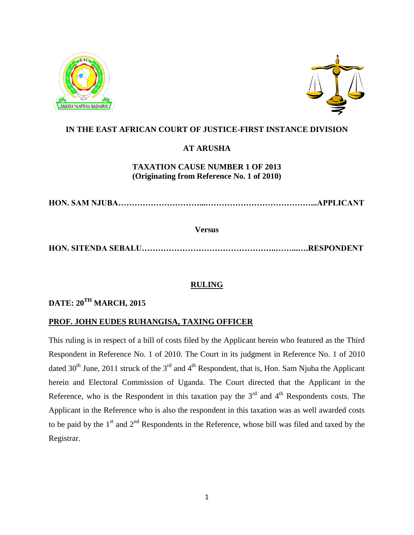



#### **IN THE EAST AFRICAN COURT OF JUSTICE-FIRST INSTANCE DIVISION**

## **AT ARUSHA**

### **TAXATION CAUSE NUMBER 1 OF 2013 (Originating from Reference No. 1 of 2010)**

**HON. SAM NJUBA…………………………...…………………………………...APPLICANT**

**Versus**

**HON. SITENDA SEBALU…………………………………………..……...….RESPONDENT**

## **RULING**

# **DATE: 20TH MARCH, 2015**

#### **PROF. JOHN EUDES RUHANGISA, TAXING OFFICER**

This ruling is in respect of a bill of costs filed by the Applicant herein who featured as the Third Respondent in Reference No. 1 of 2010. The Court in its judgment in Reference No. 1 of 2010 dated 30<sup>th</sup> June, 2011 struck of the 3<sup>rd</sup> and 4<sup>th</sup> Respondent, that is, Hon. Sam Njuba the Applicant herein and Electoral Commission of Uganda. The Court directed that the Applicant in the Reference, who is the Respondent in this taxation pay the  $3<sup>rd</sup>$  and  $4<sup>th</sup>$  Respondents costs. The Applicant in the Reference who is also the respondent in this taxation was as well awarded costs to be paid by the  $1<sup>st</sup>$  and  $2<sup>nd</sup>$  Respondents in the Reference, whose bill was filed and taxed by the Registrar.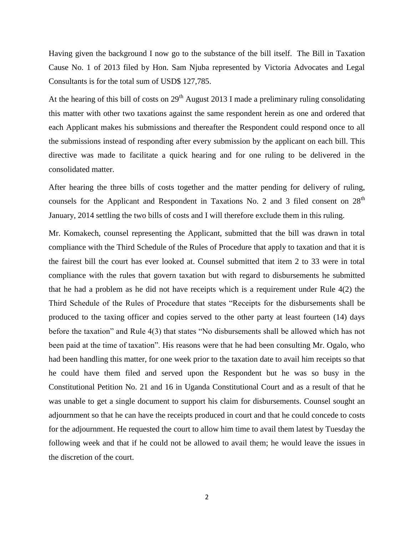Having given the background I now go to the substance of the bill itself. The Bill in Taxation Cause No. 1 of 2013 filed by Hon. Sam Njuba represented by Victoria Advocates and Legal Consultants is for the total sum of USD\$ 127,785.

At the hearing of this bill of costs on  $29<sup>th</sup>$  August 2013 I made a preliminary ruling consolidating this matter with other two taxations against the same respondent herein as one and ordered that each Applicant makes his submissions and thereafter the Respondent could respond once to all the submissions instead of responding after every submission by the applicant on each bill. This directive was made to facilitate a quick hearing and for one ruling to be delivered in the consolidated matter.

After hearing the three bills of costs together and the matter pending for delivery of ruling, counsels for the Applicant and Respondent in Taxations No. 2 and 3 filed consent on  $28<sup>th</sup>$ January, 2014 settling the two bills of costs and I will therefore exclude them in this ruling.

Mr. Komakech, counsel representing the Applicant, submitted that the bill was drawn in total compliance with the Third Schedule of the Rules of Procedure that apply to taxation and that it is the fairest bill the court has ever looked at. Counsel submitted that item 2 to 33 were in total compliance with the rules that govern taxation but with regard to disbursements he submitted that he had a problem as he did not have receipts which is a requirement under Rule 4(2) the Third Schedule of the Rules of Procedure that states "Receipts for the disbursements shall be produced to the taxing officer and copies served to the other party at least fourteen (14) days before the taxation" and Rule 4(3) that states "No disbursements shall be allowed which has not been paid at the time of taxation". His reasons were that he had been consulting Mr. Ogalo, who had been handling this matter, for one week prior to the taxation date to avail him receipts so that he could have them filed and served upon the Respondent but he was so busy in the Constitutional Petition No. 21 and 16 in Uganda Constitutional Court and as a result of that he was unable to get a single document to support his claim for disbursements. Counsel sought an adjournment so that he can have the receipts produced in court and that he could concede to costs for the adjournment. He requested the court to allow him time to avail them latest by Tuesday the following week and that if he could not be allowed to avail them; he would leave the issues in the discretion of the court.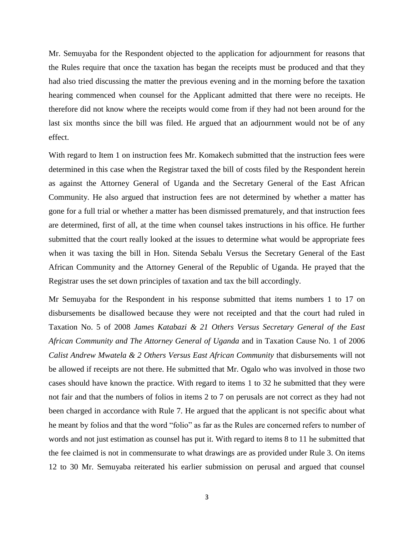Mr. Semuyaba for the Respondent objected to the application for adjournment for reasons that the Rules require that once the taxation has began the receipts must be produced and that they had also tried discussing the matter the previous evening and in the morning before the taxation hearing commenced when counsel for the Applicant admitted that there were no receipts. He therefore did not know where the receipts would come from if they had not been around for the last six months since the bill was filed. He argued that an adjournment would not be of any effect.

With regard to Item 1 on instruction fees Mr. Komakech submitted that the instruction fees were determined in this case when the Registrar taxed the bill of costs filed by the Respondent herein as against the Attorney General of Uganda and the Secretary General of the East African Community. He also argued that instruction fees are not determined by whether a matter has gone for a full trial or whether a matter has been dismissed prematurely, and that instruction fees are determined, first of all, at the time when counsel takes instructions in his office. He further submitted that the court really looked at the issues to determine what would be appropriate fees when it was taxing the bill in Hon. Sitenda Sebalu Versus the Secretary General of the East African Community and the Attorney General of the Republic of Uganda. He prayed that the Registrar uses the set down principles of taxation and tax the bill accordingly.

Mr Semuyaba for the Respondent in his response submitted that items numbers 1 to 17 on disbursements be disallowed because they were not receipted and that the court had ruled in Taxation No. 5 of 2008 *James Katabazi & 21 Others Versus Secretary General of the East African Community and The Attorney General of Uganda* and in Taxation Cause No. 1 of 2006 *Calist Andrew Mwatela & 2 Others Versus East African Community* that disbursements will not be allowed if receipts are not there. He submitted that Mr. Ogalo who was involved in those two cases should have known the practice. With regard to items 1 to 32 he submitted that they were not fair and that the numbers of folios in items 2 to 7 on perusals are not correct as they had not been charged in accordance with Rule 7. He argued that the applicant is not specific about what he meant by folios and that the word "folio" as far as the Rules are concerned refers to number of words and not just estimation as counsel has put it. With regard to items 8 to 11 he submitted that the fee claimed is not in commensurate to what drawings are as provided under Rule 3. On items 12 to 30 Mr. Semuyaba reiterated his earlier submission on perusal and argued that counsel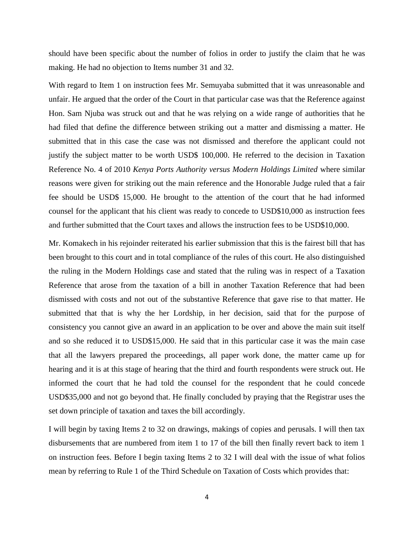should have been specific about the number of folios in order to justify the claim that he was making. He had no objection to Items number 31 and 32.

With regard to Item 1 on instruction fees Mr. Semuyaba submitted that it was unreasonable and unfair. He argued that the order of the Court in that particular case was that the Reference against Hon. Sam Njuba was struck out and that he was relying on a wide range of authorities that he had filed that define the difference between striking out a matter and dismissing a matter. He submitted that in this case the case was not dismissed and therefore the applicant could not justify the subject matter to be worth USD\$ 100,000. He referred to the decision in Taxation Reference No. 4 of 2010 *Kenya Ports Authority versus Modern Holdings Limited* where similar reasons were given for striking out the main reference and the Honorable Judge ruled that a fair fee should be USD\$ 15,000. He brought to the attention of the court that he had informed counsel for the applicant that his client was ready to concede to USD\$10,000 as instruction fees and further submitted that the Court taxes and allows the instruction fees to be USD\$10,000.

Mr. Komakech in his rejoinder reiterated his earlier submission that this is the fairest bill that has been brought to this court and in total compliance of the rules of this court. He also distinguished the ruling in the Modern Holdings case and stated that the ruling was in respect of a Taxation Reference that arose from the taxation of a bill in another Taxation Reference that had been dismissed with costs and not out of the substantive Reference that gave rise to that matter. He submitted that that is why the her Lordship, in her decision, said that for the purpose of consistency you cannot give an award in an application to be over and above the main suit itself and so she reduced it to USD\$15,000. He said that in this particular case it was the main case that all the lawyers prepared the proceedings, all paper work done, the matter came up for hearing and it is at this stage of hearing that the third and fourth respondents were struck out. He informed the court that he had told the counsel for the respondent that he could concede USD\$35,000 and not go beyond that. He finally concluded by praying that the Registrar uses the set down principle of taxation and taxes the bill accordingly.

I will begin by taxing Items 2 to 32 on drawings, makings of copies and perusals. I will then tax disbursements that are numbered from item 1 to 17 of the bill then finally revert back to item 1 on instruction fees. Before I begin taxing Items 2 to 32 I will deal with the issue of what folios mean by referring to Rule 1 of the Third Schedule on Taxation of Costs which provides that: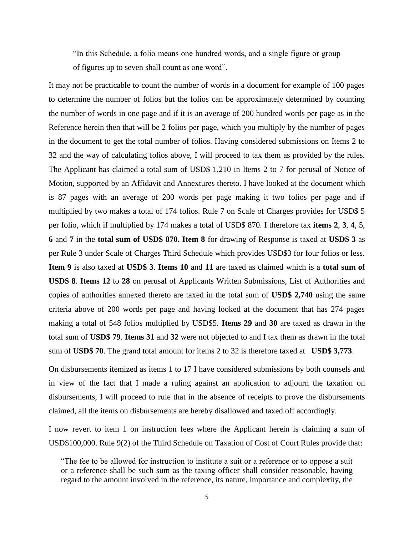"In this Schedule, a folio means one hundred words, and a single figure or group of figures up to seven shall count as one word".

It may not be practicable to count the number of words in a document for example of 100 pages to determine the number of folios but the folios can be approximately determined by counting the number of words in one page and if it is an average of 200 hundred words per page as in the Reference herein then that will be 2 folios per page, which you multiply by the number of pages in the document to get the total number of folios. Having considered submissions on Items 2 to 32 and the way of calculating folios above, I will proceed to tax them as provided by the rules. The Applicant has claimed a total sum of USD\$ 1,210 in Items 2 to 7 for perusal of Notice of Motion, supported by an Affidavit and Annextures thereto. I have looked at the document which is 87 pages with an average of 200 words per page making it two folios per page and if multiplied by two makes a total of 174 folios. Rule 7 on Scale of Charges provides for USD\$ 5 per folio, which if multiplied by 174 makes a total of USD\$ 870. I therefore tax **items 2**, **3**, **4**, 5, **6** and **7** in the **total sum of USD\$ 870. Item 8** for drawing of Response is taxed at **USD\$ 3** as per Rule 3 under Scale of Charges Third Schedule which provides USD\$3 for four folios or less. **Item 9** is also taxed at **USD\$ 3**. **Items 10** and **11** are taxed as claimed which is a **total sum of USD\$ 8**. **Items 12** to **28** on perusal of Applicants Written Submissions, List of Authorities and copies of authorities annexed thereto are taxed in the total sum of **USD\$ 2,740** using the same criteria above of 200 words per page and having looked at the document that has 274 pages making a total of 548 folios multiplied by USD\$5. **Items 29** and **30** are taxed as drawn in the total sum of **USD\$ 79**. **Items 31** and **32** were not objected to and I tax them as drawn in the total sum of **USD\$ 70**. The grand total amount for items 2 to 32 is therefore taxed at **USD\$ 3,773**.

On disbursements itemized as items 1 to 17 I have considered submissions by both counsels and in view of the fact that I made a ruling against an application to adjourn the taxation on disbursements, I will proceed to rule that in the absence of receipts to prove the disbursements claimed, all the items on disbursements are hereby disallowed and taxed off accordingly.

I now revert to item 1 on instruction fees where the Applicant herein is claiming a sum of USD\$100,000. Rule 9(2) of the Third Schedule on Taxation of Cost of Court Rules provide that:

<sup>&</sup>quot;The fee to be allowed for instruction to institute a suit or a reference or to oppose a suit or a reference shall be such sum as the taxing officer shall consider reasonable, having regard to the amount involved in the reference, its nature, importance and complexity, the